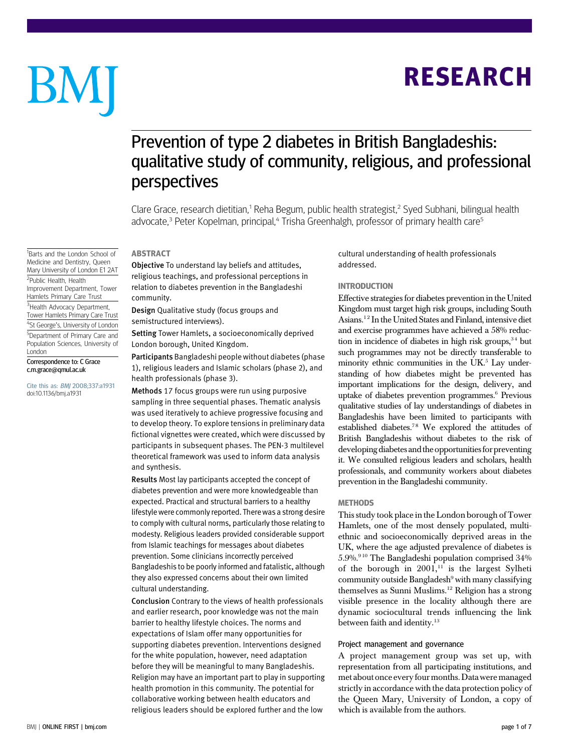## RESEARCH

# BM

### Prevention of type 2 diabetes in British Bangladeshis: qualitative study of community, religious, and professional perspectives

Clare Grace, research dietitian,<sup>1</sup> Reha Begum, public health strategist,<sup>2</sup> Syed Subhani, bilingual health advocate.<sup>3</sup> Peter Kopelman, principal, <sup>4</sup> Trisha Greenhalgh, professor of primary health care<sup>5</sup>

#### ABSTRACT

Objective To understand lay beliefs and attitudes, religious teachings, and professional perceptions in relation to diabetes prevention in the Bangladeshi community.

Design Qualitative study (focus groups and semistructured interviews).

Setting Tower Hamlets, a socioeconomically deprived London borough, United Kingdom.

Participants Bangladeshi people without diabetes (phase 1), religious leaders and Islamic scholars (phase 2), and health professionals (phase 3).

Methods 17 focus groups were run using purposive sampling in three sequential phases. Thematic analysis was used iteratively to achieve progressive focusing and to develop theory. To explore tensions in preliminary data fictional vignettes were created, which were discussed by participants in subsequent phases. The PEN-3 multilevel theoretical framework was used to inform data analysis and synthesis.

Results Most lay participants accepted the concept of diabetes prevention and were more knowledgeable than expected. Practical and structural barriers to a healthy lifestyle were commonly reported. Therewas a strong desire to comply with cultural norms, particularly those relating to modesty. Religious leaders provided considerable support from Islamic teachings for messages about diabetes prevention. Some clinicians incorrectly perceived Bangladeshis to be poorly informed and fatalistic, although they also expressed concerns about their own limited cultural understanding.

Conclusion Contrary to the views of health professionals and earlier research, poor knowledge was not the main barrier to healthy lifestyle choices. The norms and expectations of Islam offer many opportunities for supporting diabetes prevention. Interventions designed for the white population, however, need adaptation before they will be meaningful to many Bangladeshis. Religion may have an important part to play in supporting health promotion in this community. The potential for collaborative working between health educators and religious leaders should be explored further and the low

cultural understanding of health professionals addressed.

#### **INTRODUCTION**

Effective strategies for diabetes prevention in the United Kingdom must target high risk groups, including South Asians.1 2 In the United States and Finland, intensive diet and exercise programmes have achieved a 58% reduction in incidence of diabetes in high risk groups,<sup>34</sup> but such programmes may not be directly transferable to minority ethnic communities in the  $UK<sup>5</sup>$  Lay understanding of how diabetes might be prevented has important implications for the design, delivery, and uptake of diabetes prevention programmes.6 Previous qualitative studies of lay understandings of diabetes in Bangladeshis have been limited to participants with established diabetes.<sup>78</sup> We explored the attitudes of British Bangladeshis without diabetes to the risk of developing diabetes and the opportunities for preventing it. We consulted religious leaders and scholars, health professionals, and community workers about diabetes prevention in the Bangladeshi community.

#### **METHODS**

This study took place in the London borough of Tower Hamlets, one of the most densely populated, multiethnic and socioeconomically deprived areas in the UK, where the age adjusted prevalence of diabetes is 5.9%.<sup>910</sup> The Bangladeshi population comprised 34% of the borough in  $2001$ ,<sup>11</sup> is the largest Sylheti community outside Bangladesh<sup>9</sup> with many classifying themselves as Sunni Muslims.<sup>12</sup> Religion has a strong visible presence in the locality although there are dynamic sociocultural trends influencing the link between faith and identity.<sup>13</sup>

#### Project management and governance

A project management group was set up, with representation from all participating institutions, and met about once everyfourmonths.Data weremanaged strictly in accordance with the data protection policy of the Queen Mary, University of London, a copy of which is available from the authors.

<sup>1</sup>Barts and the London School of Medicine and Dentistry, Queen Mary University of London E1 2AT 2 Public Health, Health Improvement Department, Tower Hamlets Primary Care Trust <sup>3</sup>Health Advocacy Department, Tower Hamlets Primary Care Trust <sup>4</sup>St George's, University of London 5 Department of Primary Care and Population Sciences, University of London Correspondence to: C Grace c.m.grace@qmul.ac.uk

Cite this as: BMJ 2008;337:a1931 doi:10.1136/bmj.a1931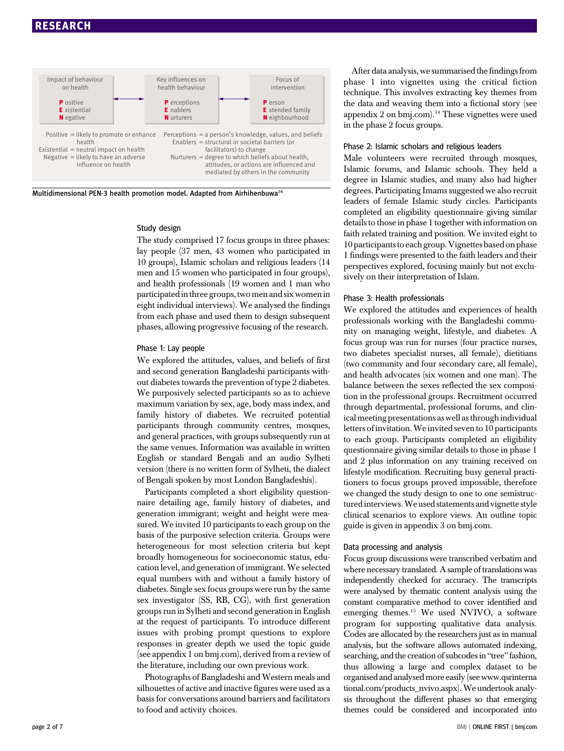#### RESEARCH



Multidimensional PEN-3 health promotion model. Adapted from Airhihenbuwa<sup>16</sup>

#### Study design

The study comprised 17 focus groups in three phases: lay people (37 men, 43 women who participated in 10 groups), Islamic scholars and religious leaders (14 men and 15 women who participated in four groups), and health professionals (19 women and 1 man who participated in three groups, two men and six women in eight individual interviews). We analysed the findings from each phase and used them to design subsequent phases, allowing progressive focusing of the research.

#### Phase 1: Lay people

We explored the attitudes, values, and beliefs of first and second generation Bangladeshi participants without diabetes towards the prevention of type 2 diabetes. We purposively selected participants so as to achieve maximum variation by sex, age, body mass index, and family history of diabetes. We recruited potential participants through community centres, mosques, and general practices, with groups subsequently run at the same venues. Information was available in written English or standard Bengali and an audio Sylheti version (there is no written form of Sylheti, the dialect of Bengali spoken by most London Bangladeshis).

Participants completed a short eligibility questionnaire detailing age, family history of diabetes, and generation immigrant; weight and height were measured. We invited 10 participants to each group on the basis of the purposive selection criteria. Groups were heterogeneous for most selection criteria but kept broadly homogeneous for socioeconomic status, education level, and generation of immigrant. We selected equal numbers with and without a family history of diabetes. Single sex focus groups were run by the same sex investigator (SS, RB, CG), with first generation groups run in Sylheti and second generation in English at the request of participants. To introduce different issues with probing prompt questions to explore responses in greater depth we used the topic guide (see appendix 1 on bmj.com), derived from a review of the literature, including our own previous work.

Photographs of Bangladeshi and Western meals and silhouettes of active and inactive figures were used as a basis for conversations around barriers and facilitators to food and activity choices.

After data analysis, we summarised thefindings from phase 1 into vignettes using the critical fiction technique. This involves extracting key themes from the data and weaving them into a fictional story (see appendix 2 on bmj.com).<sup>14</sup> These vignettes were used in the phase 2 focus groups.

#### Phase 2: Islamic scholars and religious leaders

Male volunteers were recruited through mosques, Islamic forums, and Islamic schools. They held a degree in Islamic studies, and many also had higher degrees. Participating Imams suggested we also recruit leaders of female Islamic study circles. Participants completed an eligibility questionnaire giving similar details to those in phase 1 together with information on faith related training and position. We invited eight to 10 participants to each group. Vignettes based on phase 1 findings were presented to the faith leaders and their perspectives explored, focusing mainly but not exclusively on their interpretation of Islam.

#### Phase 3: Health professionals

We explored the attitudes and experiences of health professionals working with the Bangladeshi community on managing weight, lifestyle, and diabetes. A focus group was run for nurses (four practice nurses, two diabetes specialist nurses, all female), dietitians (two community and four secondary care, all female), and health advocates (six women and one man). The balance between the sexes reflected the sex composition in the professional groups. Recruitment occurred through departmental, professional forums, and clinical meeting presentations as well asthrough individual letters of invitation.We invited seven to 10 participants to each group. Participants completed an eligibility questionnaire giving similar details to those in phase 1 and 2 plus information on any training received on lifestyle modification. Recruiting busy general practitioners to focus groups proved impossible, therefore we changed the study design to one to one semistructured interviews.We used statements and vignette style clinical scenarios to explore views. An outline topic guide is given in appendix 3 on bmj.com.

#### Data processing and analysis

Focus group discussions were transcribed verbatim and where necessary translated. A sample of translations was independently checked for accuracy. The transcripts were analysed by thematic content analysis using the constant comparative method to cover identified and emerging themes.<sup>15</sup> We used NVIVO, a software program for supporting qualitative data analysis. Codes are allocated by the researchers just as in manual analysis, but the software allows automated indexing, searching, and the creation of subcodes in "tree" fashion, thus allowing a large and complex dataset to be organised and analysed more easily(see www.qsrinterna tional.com/products\_nvivo.aspx).We undertook analysis throughout the different phases so that emerging themes could be considered and incorporated into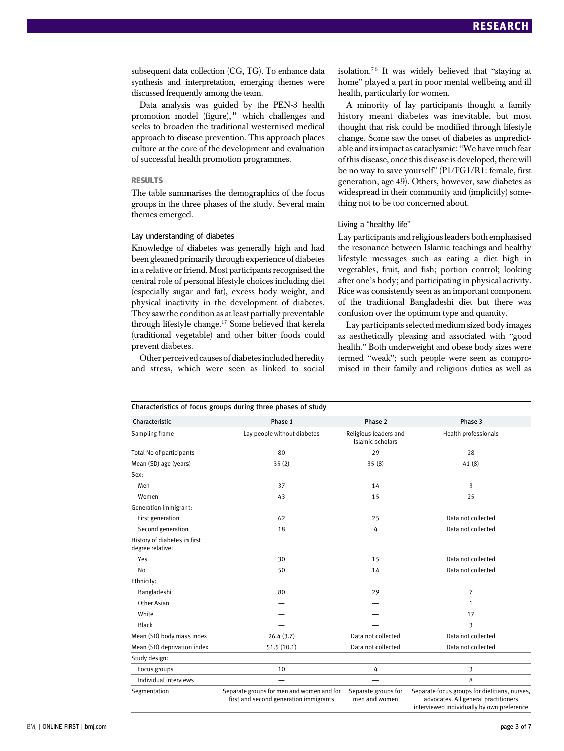subsequent data collection (CG, TG). To enhance data synthesis and interpretation, emerging themes were discussed frequently among the team.

Data analysis was guided by the PEN-3 health promotion model (figure),<sup>16</sup> which challenges and seeks to broaden the traditional westernised medical approach to disease prevention. This approach places culture at the core of the development and evaluation of successful health promotion programmes.

#### RESULTS

The table summarises the demographics of the focus groups in the three phases of the study. Several main themes emerged.

#### Lay understanding of diabetes

Knowledge of diabetes was generally high and had been gleaned primarily through experience of diabetes in a relative or friend. Most participants recognised the central role of personal lifestyle choices including diet (especially sugar and fat), excess body weight, and physical inactivity in the development of diabetes. They saw the condition as at least partially preventable through lifestyle change.17 Some believed that kerela (traditional vegetable) and other bitter foods could prevent diabetes.

Other perceived causes of diabetesincluded heredity and stress, which were seen as linked to social isolation.<sup>78</sup> It was widely believed that "staying at home" played a part in poor mental wellbeing and ill health, particularly for women.

A minority of lay participants thought a family history meant diabetes was inevitable, but most thought that risk could be modified through lifestyle change. Some saw the onset of diabetes as unpredictable and its impact as cataclysmic: "We have much fear of this disease, once this disease is developed, there will be no way to save yourself" (P1/FG1/R1: female, first generation, age 49). Others, however, saw diabetes as widespread in their community and (implicitly) something not to be too concerned about.

#### Living a "healthy life"

Lay participants and religious leaders both emphasised the resonance between Islamic teachings and healthy lifestyle messages such as eating a diet high in vegetables, fruit, and fish; portion control; looking after one's body; and participating in physical activity. Rice was consistently seen as an important component of the traditional Bangladeshi diet but there was confusion over the optimum type and quantity.

Lay participants selected medium sized body images as aesthetically pleasing and associated with "good health." Both underweight and obese body sizes were termed "weak"; such people were seen as compromised in their family and religious duties as well as

| Characteristics of focus groups during three phases of study |                                                                                     |                                           |                                                                                       |
|--------------------------------------------------------------|-------------------------------------------------------------------------------------|-------------------------------------------|---------------------------------------------------------------------------------------|
| Characteristic                                               | Phase 1                                                                             | Phase 2                                   | Phase 3                                                                               |
| Sampling frame                                               | Lay people without diabetes                                                         | Religious leaders and<br>Islamic scholars | Health professionals                                                                  |
| Total No of participants                                     | 80                                                                                  | 29                                        | 28                                                                                    |
| Mean (SD) age (years)                                        | 35(2)                                                                               | 35(8)                                     | 41(8)                                                                                 |
| Sex:                                                         |                                                                                     |                                           |                                                                                       |
| Men                                                          | 37                                                                                  | 14                                        | 3                                                                                     |
| Women                                                        | 43                                                                                  | 15                                        | 25                                                                                    |
| Generation immigrant:                                        |                                                                                     |                                           |                                                                                       |
| First generation                                             | 62                                                                                  | 25                                        | Data not collected                                                                    |
| Second generation                                            | 18                                                                                  | 4                                         | Data not collected                                                                    |
| History of diabetes in first<br>degree relative:             |                                                                                     |                                           |                                                                                       |
| Yes                                                          | 30                                                                                  | 15                                        | Data not collected                                                                    |
| No                                                           | 50                                                                                  | 14                                        | Data not collected                                                                    |
| Ethnicity:                                                   |                                                                                     |                                           |                                                                                       |
| Bangladeshi                                                  | 80                                                                                  | 29                                        | 7                                                                                     |
| Other Asian                                                  |                                                                                     |                                           | $\mathbf{1}$                                                                          |
| White                                                        |                                                                                     |                                           | 17                                                                                    |
| <b>Black</b>                                                 |                                                                                     |                                           | 3                                                                                     |
| Mean (SD) body mass index                                    | 26.4(3.7)                                                                           | Data not collected                        | Data not collected                                                                    |
| Mean (SD) deprivation index                                  | 51.5(10.1)                                                                          | Data not collected                        | Data not collected                                                                    |
| Study design:                                                |                                                                                     |                                           |                                                                                       |
| Focus groups                                                 | 10                                                                                  | 4                                         | 3                                                                                     |
| Individual interviews                                        |                                                                                     |                                           | 8                                                                                     |
| Segmentation                                                 | Separate groups for men and women and for<br>first and second generation immigrants | Separate groups for<br>men and women      | Separate focus groups for dietitians, nurses,<br>advocates. All general practitioners |

interviewed individually by own preference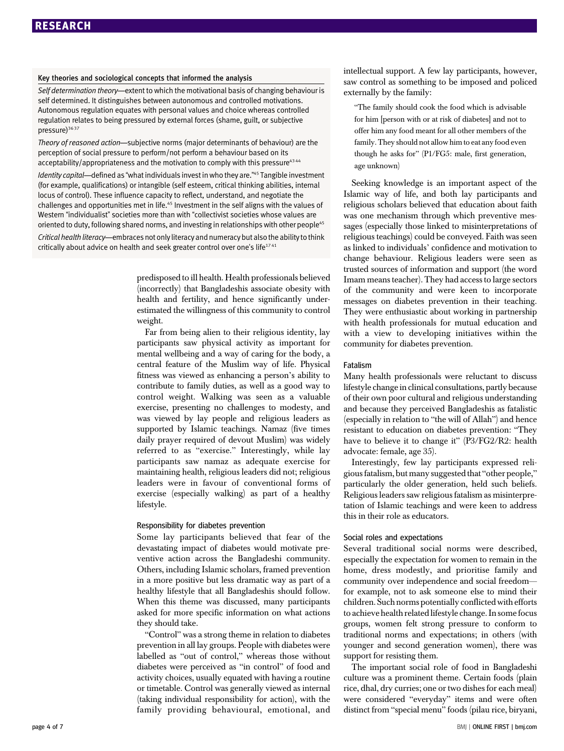#### Key theories and sociological concepts that informed the analysis

Self determination theory—extent to which the motivational basis of changing behaviour is self determined. It distinguishes between autonomous and controlled motivations. Autonomous regulation equates with personal values and choice whereas controlled regulation relates to being pressured by external forces (shame, guilt, or subjective pressure)<sup>3637</sup>

Theory of reasoned action—subjective norms (major determinants of behaviour) are the perception of social pressure to perform/not perform a behaviour based on its acceptability/appropriateness and the motivation to comply with this pressure $43\,44$ 

Identity capital—defined as "what individuals invest in who they are."<sup>45</sup> Tangible investment (for example, qualifications) or intangible (self esteem, critical thinking abilities, internal locus of control). These influence capacity to reflect, understand, and negotiate the challenges and opportunities met in life.<sup>45</sup> Investment in the self aligns with the values of Western "individualist" societies more than with "collectivist societies whose values are oriented to duty, following shared norms, and investing in relationships with other people<sup>45</sup>

Critical health literacy—embraces not only literacy and numeracy but also the ability to think critically about advice on health and seek greater control over one's life<sup>1741</sup>

> predisposed to ill health. Health professionals believed (incorrectly) that Bangladeshis associate obesity with health and fertility, and hence significantly underestimated the willingness of this community to control weight.

> Far from being alien to their religious identity, lay participants saw physical activity as important for mental wellbeing and a way of caring for the body, a central feature of the Muslim way of life. Physical fitness was viewed as enhancing a person's ability to contribute to family duties, as well as a good way to control weight. Walking was seen as a valuable exercise, presenting no challenges to modesty, and was viewed by lay people and religious leaders as supported by Islamic teachings. Namaz (five times daily prayer required of devout Muslim) was widely referred to as "exercise." Interestingly, while lay participants saw namaz as adequate exercise for maintaining health, religious leaders did not; religious leaders were in favour of conventional forms of exercise (especially walking) as part of a healthy lifestyle.

#### Responsibility for diabetes prevention

Some lay participants believed that fear of the devastating impact of diabetes would motivate preventive action across the Bangladeshi community. Others, including Islamic scholars, framed prevention in a more positive but less dramatic way as part of a healthy lifestyle that all Bangladeshis should follow. When this theme was discussed, many participants asked for more specific information on what actions they should take.

"Control" was a strong theme in relation to diabetes prevention in all lay groups. People with diabetes were labelled as "out of control," whereas those without diabetes were perceived as "in control" of food and activity choices, usually equated with having a routine or timetable. Control was generally viewed as internal (taking individual responsibility for action), with the family providing behavioural, emotional, and intellectual support. A few lay participants, however, saw control as something to be imposed and policed externally by the family:

"The family should cook the food which is advisable for him [person with or at risk of diabetes] and not to offer him any food meant for all other members of the family. They should not allow him to eat any food even though he asks for" (P1/FG5: male, first generation, age unknown)

Seeking knowledge is an important aspect of the Islamic way of life, and both lay participants and religious scholars believed that education about faith was one mechanism through which preventive messages (especially those linked to misinterpretations of religious teachings) could be conveyed. Faith was seen as linked to individuals' confidence and motivation to change behaviour. Religious leaders were seen as trusted sources of information and support (the word Imam means teacher). They had access to large sectors of the community and were keen to incorporate messages on diabetes prevention in their teaching. They were enthusiastic about working in partnership with health professionals for mutual education and with a view to developing initiatives within the community for diabetes prevention.

#### Fatalism

Many health professionals were reluctant to discuss lifestyle change in clinical consultations, partly because of their own poor cultural and religious understanding and because they perceived Bangladeshis as fatalistic (especially in relation to "the will of Allah") and hence resistant to education on diabetes prevention: "They have to believe it to change it" (P3/FG2/R2: health advocate: female, age 35).

Interestingly, few lay participants expressed religious fatalism, but many suggested that "other people," particularly the older generation, held such beliefs. Religious leaders saw religious fatalism as misinterpretation of Islamic teachings and were keen to address this in their role as educators.

#### Social roles and expectations

Several traditional social norms were described, especially the expectation for women to remain in the home, dress modestly, and prioritise family and community over independence and social freedom for example, not to ask someone else to mind their children. Such norms potentially conflicted with efforts to achieve health related lifestyle change. In some focus groups, women felt strong pressure to conform to traditional norms and expectations; in others (with younger and second generation women), there was support for resisting them.

The important social role of food in Bangladeshi culture was a prominent theme. Certain foods (plain rice, dhal, dry curries; one or two dishes for each meal) were considered "everyday" items and were often distinct from "special menu" foods (pilau rice, biryani,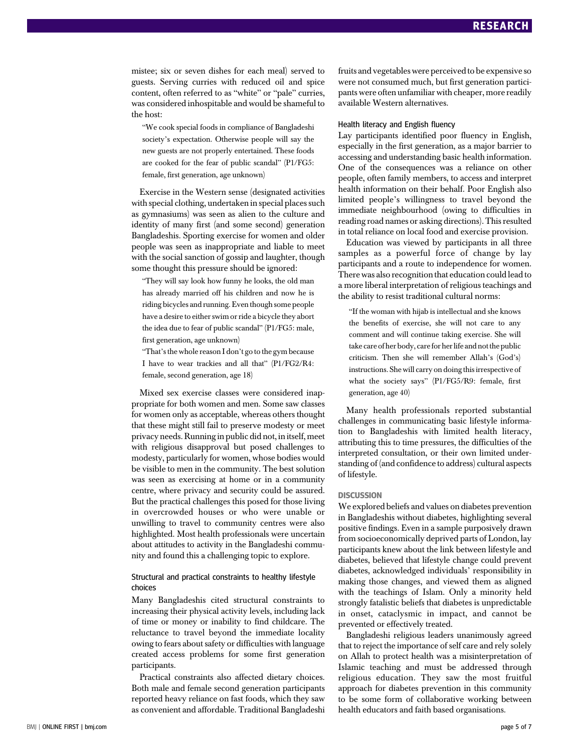mistee; six or seven dishes for each meal) served to guests. Serving curries with reduced oil and spice content, often referred to as "white" or "pale" curries, was considered inhospitable and would be shameful to the host:

"We cook special foods in compliance of Bangladeshi society's expectation. Otherwise people will say the new guests are not properly entertained. These foods are cooked for the fear of public scandal" (P1/FG5: female, first generation, age unknown)

Exercise in the Western sense (designated activities with special clothing, undertaken in special places such as gymnasiums) was seen as alien to the culture and identity of many first (and some second) generation Bangladeshis. Sporting exercise for women and older people was seen as inappropriate and liable to meet with the social sanction of gossip and laughter, though some thought this pressure should be ignored:

"They will say look how funny he looks, the old man has already married off his children and now he is riding bicycles and running. Even though some people have a desire to either swim or ride a bicycle they abort the idea due to fear of public scandal" (P1/FG5: male, first generation, age unknown)

"That's the whole reason I don't go to the gym because I have to wear trackies and all that" (P1/FG2/R4: female, second generation, age 18)

Mixed sex exercise classes were considered inappropriate for both women and men. Some saw classes for women only as acceptable, whereas others thought that these might still fail to preserve modesty or meet privacy needs. Running in public did not, in itself, meet with religious disapproval but posed challenges to modesty, particularly for women, whose bodies would be visible to men in the community. The best solution was seen as exercising at home or in a community centre, where privacy and security could be assured. But the practical challenges this posed for those living in overcrowded houses or who were unable or unwilling to travel to community centres were also highlighted. Most health professionals were uncertain about attitudes to activity in the Bangladeshi community and found this a challenging topic to explore.

#### Structural and practical constraints to healthy lifestyle choices

Many Bangladeshis cited structural constraints to increasing their physical activity levels, including lack of time or money or inability to find childcare. The reluctance to travel beyond the immediate locality owing to fears about safety or difficulties with language created access problems for some first generation participants.

Practical constraints also affected dietary choices. Both male and female second generation participants reported heavy reliance on fast foods, which they saw as convenient and affordable. Traditional Bangladeshi fruits and vegetables were perceived to be expensive so were not consumed much, but first generation participants were often unfamiliar with cheaper, more readily available Western alternatives.

#### Health literacy and English fluency

Lay participants identified poor fluency in English, especially in the first generation, as a major barrier to accessing and understanding basic health information. One of the consequences was a reliance on other people, often family members, to access and interpret health information on their behalf. Poor English also limited people's willingness to travel beyond the immediate neighbourhood (owing to difficulties in reading road names or asking directions). This resulted in total reliance on local food and exercise provision.

Education was viewed by participants in all three samples as a powerful force of change by lay participants and a route to independence for women. There was also recognition that education could lead to a more liberal interpretation of religious teachings and the ability to resist traditional cultural norms:

"If the woman with hijab is intellectual and she knows the benefits of exercise, she will not care to any comment and will continue taking exercise. She will take care of her body, carefor her life and notthe public criticism. Then she will remember Allah's (God's) instructions. She will carry on doing this irrespective of what the society says" (P1/FG5/R9: female, first generation, age 40)

Many health professionals reported substantial challenges in communicating basic lifestyle information to Bangladeshis with limited health literacy, attributing this to time pressures, the difficulties of the interpreted consultation, or their own limited understanding of (and confidence to address) cultural aspects of lifestyle.

#### **DISCUSSION**

We explored beliefs and values on diabetes prevention in Bangladeshis without diabetes, highlighting several positive findings. Even in a sample purposively drawn from socioeconomically deprived parts of London, lay participants knew about the link between lifestyle and diabetes, believed that lifestyle change could prevent diabetes, acknowledged individuals' responsibility in making those changes, and viewed them as aligned with the teachings of Islam. Only a minority held strongly fatalistic beliefs that diabetes is unpredictable in onset, cataclysmic in impact, and cannot be prevented or effectively treated.

Bangladeshi religious leaders unanimously agreed that to reject the importance of self care and rely solely on Allah to protect health was a misinterpretation of Islamic teaching and must be addressed through religious education. They saw the most fruitful approach for diabetes prevention in this community to be some form of collaborative working between health educators and faith based organisations.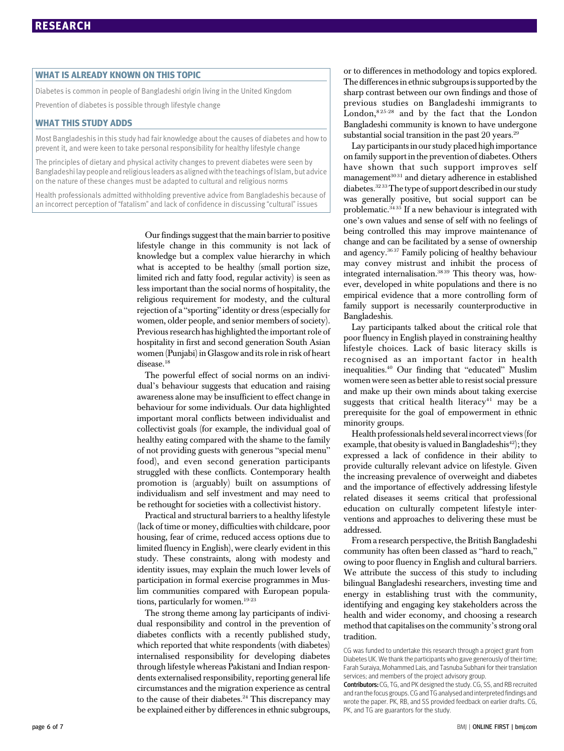#### WHAT IS ALREADY KNOWN ON THIS TOPIC

Diabetes is common in people of Bangladeshi origin living in the United Kingdom

Prevention of diabetes is possible through lifestyle change

#### WHAT THIS STUDY ADDS

Most Bangladeshis in this study had fair knowledge about the causes of diabetes and how to prevent it, and were keen to take personal responsibility for healthy lifestyle change

The principles of dietary and physical activity changes to prevent diabetes were seen by Bangladeshi lay people and religious leaders as aligned with the teachings of Islam, but advice on the nature of these changes must be adapted to cultural and religious norms

Health professionals admitted withholding preventive advice from Bangladeshis because of an incorrect perception of "fatalism" and lack of confidence in discussing "cultural" issues

> Our findings suggest that the main barrier to positive lifestyle change in this community is not lack of knowledge but a complex value hierarchy in which what is accepted to be healthy (small portion size, limited rich and fatty food, regular activity) is seen as less important than the social norms of hospitality, the religious requirement for modesty, and the cultural rejection of a "sporting" identity or dress (especially for women, older people, and senior members of society). Previous research has highlighted the important role of hospitality in first and second generation South Asian women (Punjabi) in Glasgow and its role in risk of heart disease.<sup>18</sup>

> The powerful effect of social norms on an individual's behaviour suggests that education and raising awareness alone may be insufficient to effect change in behaviour for some individuals. Our data highlighted important moral conflicts between individualist and collectivist goals (for example, the individual goal of healthy eating compared with the shame to the family of not providing guests with generous "special menu" food), and even second generation participants struggled with these conflicts. Contemporary health promotion is (arguably) built on assumptions of individualism and self investment and may need to be rethought for societies with a collectivist history.

> Practical and structural barriers to a healthy lifestyle (lack of time or money, difficulties with childcare, poor housing, fear of crime, reduced access options due to limited fluency in English), were clearly evident in this study. These constraints, along with modesty and identity issues, may explain the much lower levels of participation in formal exercise programmes in Muslim communities compared with European populations, particularly for women.<sup>19-23</sup>

> The strong theme among lay participants of individual responsibility and control in the prevention of diabetes conflicts with a recently published study, which reported that white respondents (with diabetes) internalised responsibility for developing diabetes through lifestyle whereas Pakistani and Indian respondents externalised responsibility, reporting general life circumstances and the migration experience as central to the cause of their diabetes.<sup>24</sup> This discrepancy may be explained either by differences in ethnic subgroups,

or to differences in methodology and topics explored. The differences in ethnic subgroups is supported by the sharp contrast between our own findings and those of previous studies on Bangladeshi immigrants to London,<sup>825-28</sup> and by the fact that the London Bangladeshi community is known to have undergone substantial social transition in the past 20 years.<sup>29</sup>

Lay participants in our study placed high importance on family support in the prevention of diabetes. Others have shown that such support improves self management $30\,31}$  and dietary adherence in established diabetes.32 33The type of support described in our study was generally positive, but social support can be problematic. $3435$  If a new behaviour is integrated with one's own values and sense of self with no feelings of being controlled this may improve maintenance of change and can be facilitated by a sense of ownership and agency.36 37 Family policing of healthy behaviour may convey mistrust and inhibit the process of integrated internalisation.<sup>38 39</sup> This theory was, however, developed in white populations and there is no empirical evidence that a more controlling form of family support is necessarily counterproductive in Bangladeshis.

Lay participants talked about the critical role that poor fluency in English played in constraining healthy lifestyle choices. Lack of basic literacy skills is recognised as an important factor in health inequalities.40 Our finding that "educated" Muslim women were seen as better able to resist social pressure and make up their own minds about taking exercise suggests that critical health literacy<sup>41</sup> may be a prerequisite for the goal of empowerment in ethnic minority groups.

Health professionals held several incorrect views(for example, that obesity is valued in Bangladeshis<sup>42</sup>); they expressed a lack of confidence in their ability to provide culturally relevant advice on lifestyle. Given the increasing prevalence of overweight and diabetes and the importance of effectively addressing lifestyle related diseases it seems critical that professional education on culturally competent lifestyle interventions and approaches to delivering these must be addressed.

From a research perspective, the British Bangladeshi community has often been classed as "hard to reach," owing to poor fluency in English and cultural barriers. We attribute the success of this study to including bilingual Bangladeshi researchers, investing time and energy in establishing trust with the community, identifying and engaging key stakeholders across the health and wider economy, and choosing a research method that capitalises on the community's strong oral tradition.

CG was funded to undertake this research through a project grant from Diabetes UK. We thank the participants who gave generously of their time; Farah Suraiya, Mohammed Lais, and Tasnuba Subhani for their translation services; and members of the project advisory group.

Contributors:CG, TG, and PK designed the study. CG, SS, and RB recruited and ran the focus groups. CG and TG analysed and interpreted findings and wrote the paper. PK, RB, and SS provided feedback on earlier drafts. CG, PK, and TG are guarantors for the study.